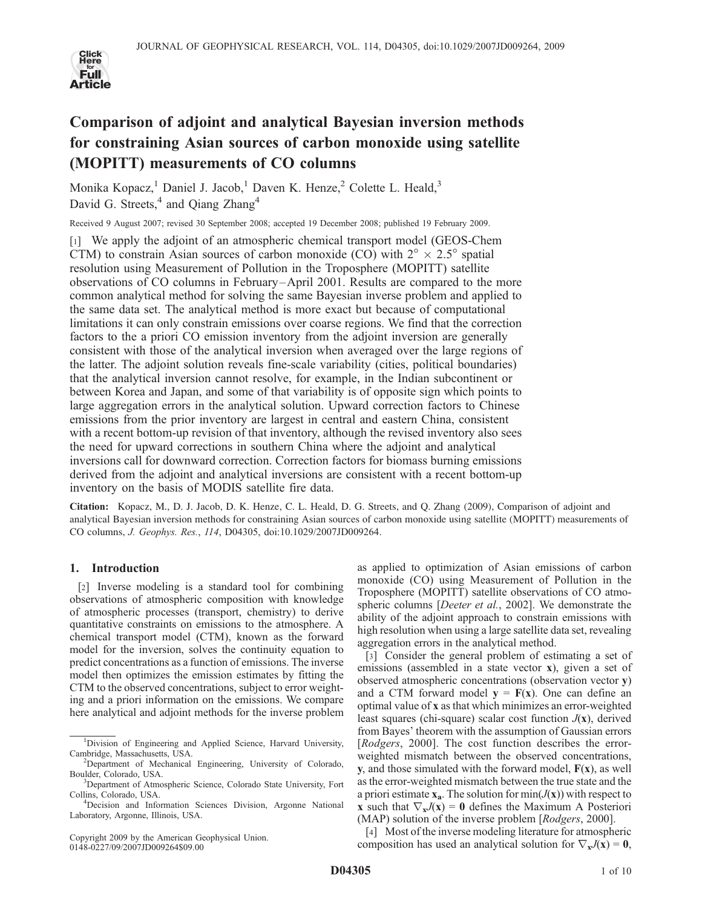

# Comparison of adjoint and analytical Bayesian inversion methods for constraining Asian sources of carbon monoxide using satellite (MOPITT) measurements of CO columns

Monika Kopacz,<sup>1</sup> Daniel J. Jacob,<sup>1</sup> Daven K. Henze,<sup>2</sup> Colette L. Heald,<sup>3</sup> David G. Streets,  $4$  and Oiang Zhang  $4$ 

Received 9 August 2007; revised 30 September 2008; accepted 19 December 2008; published 19 February 2009.

[1] We apply the adjoint of an atmospheric chemical transport model (GEOS-Chem CTM) to constrain Asian sources of carbon monoxide (CO) with  $2^{\circ} \times 2.5^{\circ}$  spatial resolution using Measurement of Pollution in the Troposphere (MOPITT) satellite observations of CO columns in February–April 2001. Results are compared to the more common analytical method for solving the same Bayesian inverse problem and applied to the same data set. The analytical method is more exact but because of computational limitations it can only constrain emissions over coarse regions. We find that the correction factors to the a priori CO emission inventory from the adjoint inversion are generally consistent with those of the analytical inversion when averaged over the large regions of the latter. The adjoint solution reveals fine-scale variability (cities, political boundaries) that the analytical inversion cannot resolve, for example, in the Indian subcontinent or between Korea and Japan, and some of that variability is of opposite sign which points to large aggregation errors in the analytical solution. Upward correction factors to Chinese emissions from the prior inventory are largest in central and eastern China, consistent with a recent bottom-up revision of that inventory, although the revised inventory also sees the need for upward corrections in southern China where the adjoint and analytical inversions call for downward correction. Correction factors for biomass burning emissions derived from the adjoint and analytical inversions are consistent with a recent bottom-up inventory on the basis of MODIS satellite fire data.

Citation: Kopacz, M., D. J. Jacob, D. K. Henze, C. L. Heald, D. G. Streets, and Q. Zhang (2009), Comparison of adjoint and analytical Bayesian inversion methods for constraining Asian sources of carbon monoxide using satellite (MOPITT) measurements of CO columns, J. Geophys. Res., 114, D04305, doi:10.1029/2007JD009264.

### 1. Introduction

[2] Inverse modeling is a standard tool for combining observations of atmospheric composition with knowledge of atmospheric processes (transport, chemistry) to derive quantitative constraints on emissions to the atmosphere. A chemical transport model (CTM), known as the forward model for the inversion, solves the continuity equation to predict concentrations as a function of emissions. The inverse model then optimizes the emission estimates by fitting the CTM to the observed concentrations, subject to error weighting and a priori information on the emissions. We compare here analytical and adjoint methods for the inverse problem

Copyright 2009 by the American Geophysical Union. 0148-0227/09/2007JD009264\$09.00

as applied to optimization of Asian emissions of carbon monoxide (CO) using Measurement of Pollution in the Troposphere (MOPITT) satellite observations of CO atmospheric columns [Deeter et al., 2002]. We demonstrate the ability of the adjoint approach to constrain emissions with high resolution when using a large satellite data set, revealing aggregation errors in the analytical method.

[3] Consider the general problem of estimating a set of emissions (assembled in a state vector x), given a set of observed atmospheric concentrations (observation vector y) and a CTM forward model  $y = F(x)$ . One can define an optimal value of x as that which minimizes an error-weighted least squares (chi-square) scalar cost function  $J(x)$ , derived from Bayes' theorem with the assumption of Gaussian errors [Rodgers, 2000]. The cost function describes the errorweighted mismatch between the observed concentrations,  $y$ , and those simulated with the forward model,  $F(x)$ , as well as the error-weighted mismatch between the true state and the a priori estimate  $x_a$ . The solution for min( $J(x)$ ) with respect to x such that  $\nabla_{\mathbf{x}}J(\mathbf{x}) = \mathbf{0}$  defines the Maximum A Posteriori (MAP) solution of the inverse problem [Rodgers, 2000].

[4] Most of the inverse modeling literature for atmospheric composition has used an analytical solution for  $\nabla_{\mathbf{x}}J(\mathbf{x}) = \mathbf{0}$ ,

<sup>&</sup>lt;sup>1</sup>Division of Engineering and Applied Science, Harvard University, Cambridge, Massachusetts, USA. <sup>2</sup>

<sup>&</sup>lt;sup>2</sup>Department of Mechanical Engineering, University of Colorado, Boulder, Colorado, USA. <sup>3</sup>

<sup>&</sup>lt;sup>3</sup>Department of Atmospheric Science, Colorado State University, Fort Collins, Colorado, USA. <sup>4</sup>

<sup>&</sup>lt;sup>4</sup>Decision and Information Sciences Division, Argonne National Laboratory, Argonne, Illinois, USA.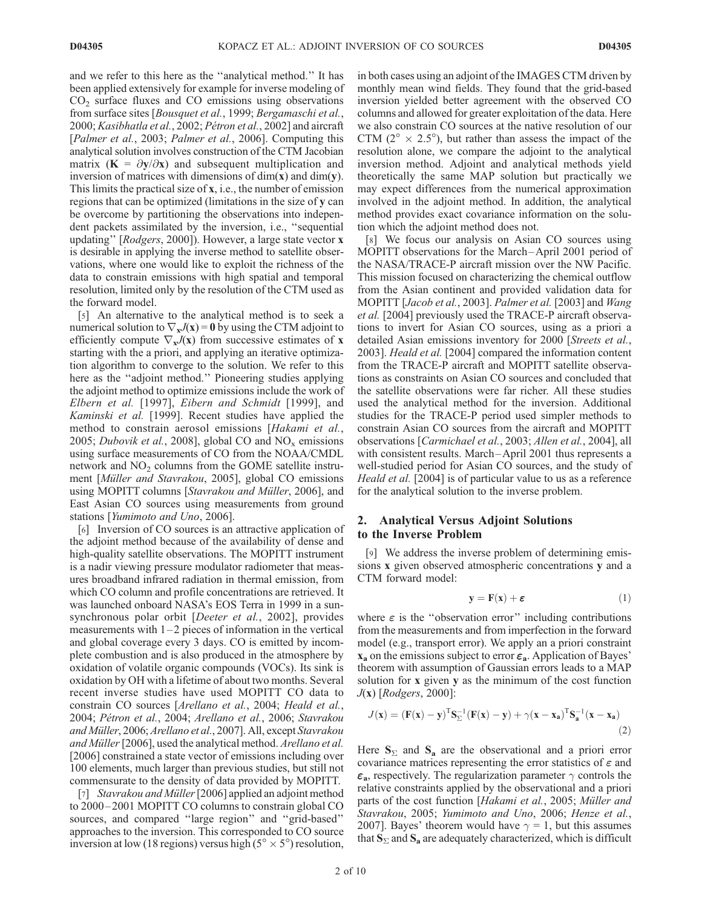and we refer to this here as the ''analytical method.'' It has been applied extensively for example for inverse modeling of  $CO<sub>2</sub>$  surface fluxes and CO emissions using observations from surface sites [Bousquet et al., 1999; Bergamaschi et al., 2000; Kasibhatla et al., 2002; Pétron et al., 2002] and aircraft [Palmer et al., 2003; Palmer et al., 2006]. Computing this analytical solution involves construction of the CTM Jacobian matrix  $(K = \partial y/\partial x)$  and subsequent multiplication and inversion of matrices with dimensions of  $dim(x)$  and  $dim(y)$ . This limits the practical size of x, i.e., the number of emission regions that can be optimized (limitations in the size of y can be overcome by partitioning the observations into independent packets assimilated by the inversion, i.e., ''sequential updating" [Rodgers, 2000]). However, a large state vector x is desirable in applying the inverse method to satellite observations, where one would like to exploit the richness of the data to constrain emissions with high spatial and temporal resolution, limited only by the resolution of the CTM used as the forward model.

[5] An alternative to the analytical method is to seek a numerical solution to  $\nabla_{\mathbf{x}}J(\mathbf{x}) = \mathbf{0}$  by using the CTM adjoint to efficiently compute  $\nabla_{\mathbf{x}}J(\mathbf{x})$  from successive estimates of **x** starting with the a priori, and applying an iterative optimization algorithm to converge to the solution. We refer to this here as the ''adjoint method.'' Pioneering studies applying the adjoint method to optimize emissions include the work of Elbern et al. [1997], Eibern and Schmidt [1999], and Kaminski et al. [1999]. Recent studies have applied the method to constrain aerosol emissions [Hakami et al., 2005; Dubovik et al., 2008], global CO and  $NO_x$  emissions using surface measurements of CO from the NOAA/CMDL network and  $NO<sub>2</sub>$  columns from the GOME satellite instrument [Müller and Stavrakou, 2005], global CO emissions using MOPITT columns [Stavrakou and Müller, 2006], and East Asian CO sources using measurements from ground stations [Yumimoto and Uno, 2006].

[6] Inversion of CO sources is an attractive application of the adjoint method because of the availability of dense and high-quality satellite observations. The MOPITT instrument is a nadir viewing pressure modulator radiometer that measures broadband infrared radiation in thermal emission, from which CO column and profile concentrations are retrieved. It was launched onboard NASA's EOS Terra in 1999 in a sunsynchronous polar orbit [Deeter et al., 2002], provides measurements with  $1-2$  pieces of information in the vertical and global coverage every 3 days. CO is emitted by incomplete combustion and is also produced in the atmosphere by oxidation of volatile organic compounds (VOCs). Its sink is oxidation by OH with a lifetime of about two months. Several recent inverse studies have used MOPITT CO data to constrain CO sources [Arellano et al., 2004; Heald et al., 2004; Pétron et al., 2004; Arellano et al., 2006; Stavrakou and Müller, 2006; Arellano et al., 2007]. All, except Stavrakou and Müller [2006], used the analytical method. Arellano et al. [2006] constrained a state vector of emissions including over 100 elements, much larger than previous studies, but still not commensurate to the density of data provided by MOPITT.

[7] Stavrakou and Müller [2006] applied an adjoint method to 2000– 2001 MOPITT CO columns to constrain global CO sources, and compared ''large region'' and ''grid-based'' approaches to the inversion. This corresponded to CO source inversion at low (18 regions) versus high ( $5^{\circ} \times 5^{\circ}$ ) resolution, in both cases using an adjoint of the IMAGES CTM driven by monthly mean wind fields. They found that the grid-based inversion yielded better agreement with the observed CO columns and allowed for greater exploitation of the data. Here we also constrain CO sources at the native resolution of our CTM ( $2^{\circ} \times 2.5^{\circ}$ ), but rather than assess the impact of the resolution alone, we compare the adjoint to the analytical inversion method. Adjoint and analytical methods yield theoretically the same MAP solution but practically we may expect differences from the numerical approximation involved in the adjoint method. In addition, the analytical method provides exact covariance information on the solution which the adjoint method does not.

[8] We focus our analysis on Asian CO sources using MOPITT observations for the March –April 2001 period of the NASA/TRACE-P aircraft mission over the NW Pacific. This mission focused on characterizing the chemical outflow from the Asian continent and provided validation data for MOPITT [Jacob et al., 2003]. Palmer et al. [2003] and Wang et al. [2004] previously used the TRACE-P aircraft observations to invert for Asian CO sources, using as a priori a detailed Asian emissions inventory for 2000 [Streets et al., 2003]. Heald et al. [2004] compared the information content from the TRACE-P aircraft and MOPITT satellite observations as constraints on Asian CO sources and concluded that the satellite observations were far richer. All these studies used the analytical method for the inversion. Additional studies for the TRACE-P period used simpler methods to constrain Asian CO sources from the aircraft and MOPITT observations [Carmichael et al., 2003; Allen et al., 2004], all with consistent results. March –April 2001 thus represents a well-studied period for Asian CO sources, and the study of Heald et al. [2004] is of particular value to us as a reference for the analytical solution to the inverse problem.

### 2. Analytical Versus Adjoint Solutions to the Inverse Problem

[9] We address the inverse problem of determining emissions x given observed atmospheric concentrations y and a CTM forward model:

$$
\mathbf{y} = \mathbf{F}(\mathbf{x}) + \boldsymbol{\varepsilon} \tag{1}
$$

where  $\varepsilon$  is the "observation error" including contributions from the measurements and from imperfection in the forward model (e.g., transport error). We apply an a priori constraint  $x_a$  on the emissions subject to error  $\varepsilon_a$ . Application of Bayes' theorem with assumption of Gaussian errors leads to a MAP solution for x given y as the minimum of the cost function J(x) [Rodgers, 2000]:

$$
J(\mathbf{x}) = (\mathbf{F}(\mathbf{x}) - \mathbf{y})^{\mathrm{T}} \mathbf{S}_{\Sigma}^{-1} (\mathbf{F}(\mathbf{x}) - \mathbf{y}) + \gamma (\mathbf{x} - \mathbf{x}_a)^{\mathrm{T}} \mathbf{S}_a^{-1} (\mathbf{x} - \mathbf{x}_a)
$$
\n(2)

Here  $S_{\Sigma}$  and  $S_{a}$  are the observational and a priori error covariance matrices representing the error statistics of  $\varepsilon$  and  $\epsilon_{a}$ , respectively. The regularization parameter  $\gamma$  controls the relative constraints applied by the observational and a priori parts of the cost function [Hakami et al., 2005; Müller and Stavrakou, 2005; Yumimoto and Uno, 2006; Henze et al., 2007]. Bayes' theorem would have  $\gamma = 1$ , but this assumes that  $S_{\Sigma}$  and  $S_{a}$  are adequately characterized, which is difficult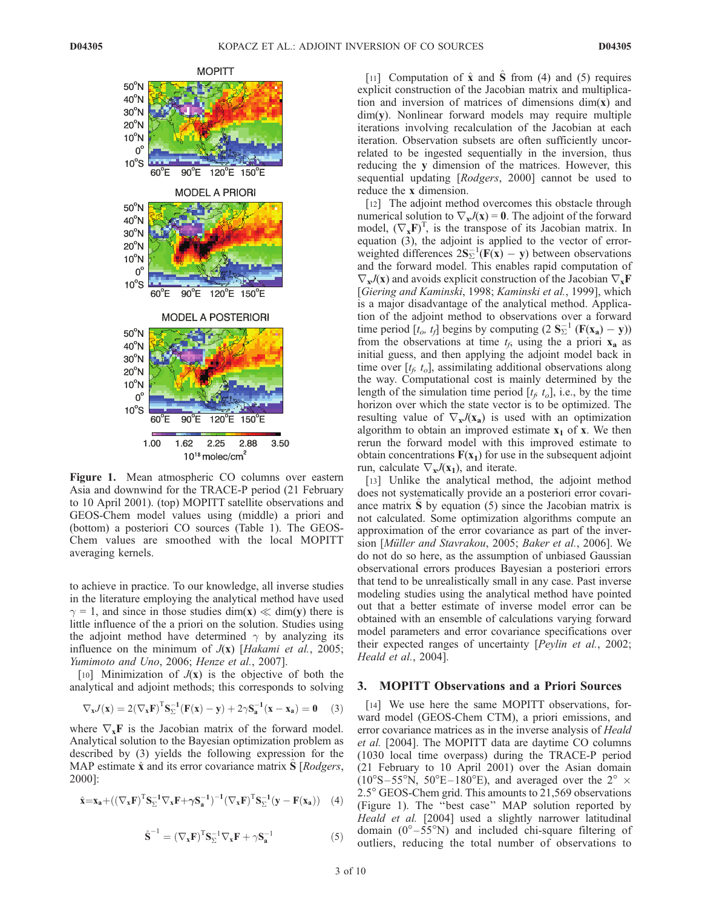

Figure 1. Mean atmospheric CO columns over eastern Asia and downwind for the TRACE-P period (21 February to 10 April 2001). (top) MOPITT satellite observations and GEOS-Chem model values using (middle) a priori and (bottom) a posteriori CO sources (Table 1). The GEOS-Chem values are smoothed with the local MOPITT averaging kernels.

to achieve in practice. To our knowledge, all inverse studies in the literature employing the analytical method have used  $\gamma = 1$ , and since in those studies dim(x)  $\ll$  dim(y) there is little influence of the a priori on the solution. Studies using the adjoint method have determined  $\gamma$  by analyzing its influence on the minimum of  $J(x)$  [Hakami et al., 2005; Yumimoto and Uno, 2006; Henze et al., 2007].

[10] Minimization of  $J(x)$  is the objective of both the analytical and adjoint methods; this corresponds to solving

$$
\nabla_{\mathbf{x}} J(\mathbf{x}) = 2(\nabla_{\mathbf{x}} \mathbf{F})^{\mathrm{T}} \mathbf{S}_{\Sigma}^{-1} (\mathbf{F}(\mathbf{x}) - \mathbf{y}) + 2\gamma \mathbf{S}_{a}^{-1}(\mathbf{x} - \mathbf{x}_{a}) = 0 \quad (3)
$$

where  $\nabla_{\bf x}F$  is the Jacobian matrix of the forward model. Analytical solution to the Bayesian optimization problem as described by (3) yields the following expression for the MAP estimate  $\hat{x}$  and its error covariance matrix S [Rodgers, 2000]:

$$
\hat{\mathbf{x}} = \mathbf{x}_a + ((\nabla_{\mathbf{x}} \mathbf{F})^T \mathbf{S}_{\Sigma}^{-1} \nabla_{\mathbf{x}} \mathbf{F} + \gamma \mathbf{S}_a^{-1})^{-1} (\nabla_{\mathbf{x}} \mathbf{F})^T \mathbf{S}_{\Sigma}^{-1} (\mathbf{y} - \mathbf{F}(\mathbf{x}_a)) \quad (4)
$$

$$
\hat{\mathbf{S}}^{-1} = (\nabla_{\mathbf{x}} \mathbf{F})^{\mathrm{T}} \mathbf{S}_{\Sigma}^{-1} \nabla_{\mathbf{x}} \mathbf{F} + \gamma \mathbf{S}_{\mathbf{a}}^{-1} \tag{5}
$$

[11] Computation of  $\hat{x}$  and  $\hat{S}$  from (4) and (5) requires explicit construction of the Jacobian matrix and multiplication and inversion of matrices of dimensions  $dim(x)$  and dim(y). Nonlinear forward models may require multiple iterations involving recalculation of the Jacobian at each iteration. Observation subsets are often sufficiently uncorrelated to be ingested sequentially in the inversion, thus reducing the y dimension of the matrices. However, this sequential updating [Rodgers, 2000] cannot be used to reduce the x dimension.

[12] The adjoint method overcomes this obstacle through numerical solution to  $\nabla_{\mathbf{x}}J(\mathbf{x}) = \mathbf{0}$ . The adjoint of the forward model,  $(\nabla_{\mathbf{x}}\mathbf{F})^{\text{T}}$ , is the transpose of its Jacobian matrix. In equation (3), the adjoint is applied to the vector of errorweighted differences  $2S_{\Sigma}^{-1}(F(x) - y)$  between observations and the forward model. This enables rapid computation of  $\nabla_{\mathbf{x}}J(\mathbf{x})$  and avoids explicit construction of the Jacobian  $\nabla_{\mathbf{x}}\mathbf{F}$ [Giering and Kaminski, 1998; Kaminski et al., 1999], which is a major disadvantage of the analytical method. Application of the adjoint method to observations over a forward time period  $[t_o, t_f]$  begins by computing  $(2 S_{\Sigma}^{-1} (F(x_a) - y))$ from the observations at time  $t_f$ , using the a priori  $x_a$  as initial guess, and then applying the adjoint model back in time over  $[t_f, t_o]$ , assimilating additional observations along the way. Computational cost is mainly determined by the length of the simulation time period  $[t_f, t_o]$ , i.e., by the time horizon over which the state vector is to be optimized. The resulting value of  $\nabla_{\mathbf{x}}J(\mathbf{x}_a)$  is used with an optimization algorithm to obtain an improved estimate  $x_1$  of  $x$ . We then rerun the forward model with this improved estimate to obtain concentrations  $F(x_1)$  for use in the subsequent adjoint run, calculate  $\nabla_{\mathbf{x}}J(\mathbf{x}_1)$ , and iterate.

[13] Unlike the analytical method, the adjoint method does not systematically provide an a posteriori error covariance matrix  $\hat{S}$  by equation (5) since the Jacobian matrix is not calculated. Some optimization algorithms compute an approximation of the error covariance as part of the inversion [Müller and Stavrakou, 2005; Baker et al., 2006]. We do not do so here, as the assumption of unbiased Gaussian observational errors produces Bayesian a posteriori errors that tend to be unrealistically small in any case. Past inverse modeling studies using the analytical method have pointed out that a better estimate of inverse model error can be obtained with an ensemble of calculations varying forward model parameters and error covariance specifications over their expected ranges of uncertainty [Peylin et al., 2002; Heald et al., 2004].

#### 3. MOPITT Observations and a Priori Sources

[14] We use here the same MOPITT observations, forward model (GEOS-Chem CTM), a priori emissions, and error covariance matrices as in the inverse analysis of Heald et al. [2004]. The MOPITT data are daytime CO columns (1030 local time overpass) during the TRACE-P period (21 February to 10 April 2001) over the Asian domain ( $10^{\circ}S - 55^{\circ}N$ ,  $50^{\circ}E - 180^{\circ}E$ ), and averaged over the  $2^{\circ} \times$ 2.5° GEOS-Chem grid. This amounts to 21,569 observations (Figure 1). The ''best case'' MAP solution reported by Heald et al. [2004] used a slightly narrower latitudinal domain  $(0^{\circ}-55^{\circ}N)$  and included chi-square filtering of outliers, reducing the total number of observations to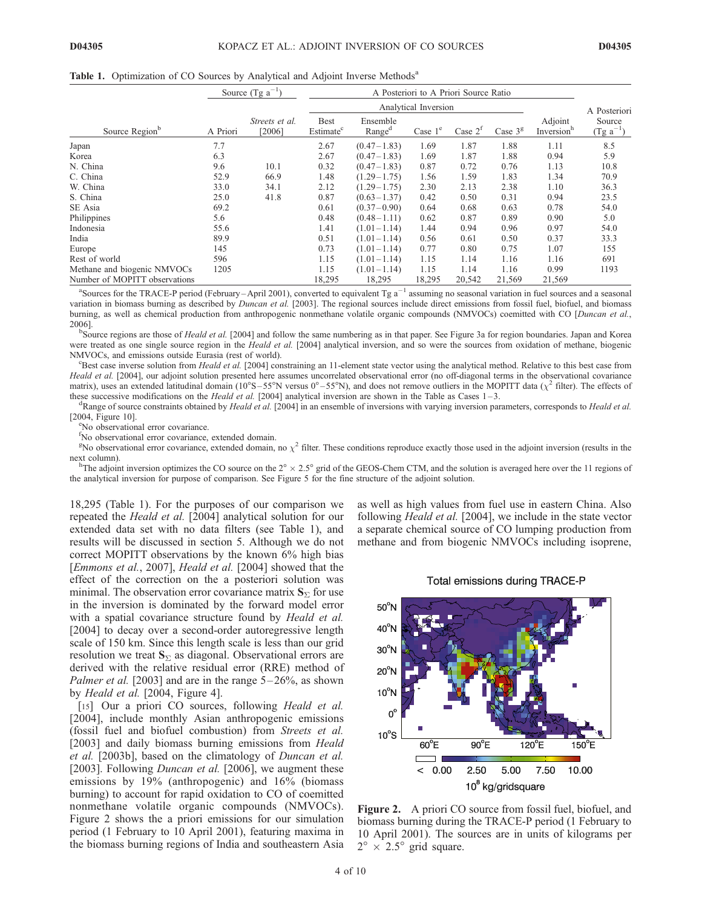Table 1. Optimization of CO Sources by Analytical and Adjoint Inverse Methods<sup>a</sup>

|                               | Source $(Tg a^{-1})$ |                          | A Posteriori to A Priori Source Ratio |                                |            |            |           |                                   |                         |
|-------------------------------|----------------------|--------------------------|---------------------------------------|--------------------------------|------------|------------|-----------|-----------------------------------|-------------------------|
|                               |                      |                          | Analytical Inversion                  |                                |            |            |           |                                   | A Posteriori            |
| Source Region <sup>b</sup>    | A Priori             | Streets et al.<br>[2006] | <b>Best</b><br>Estimate <sup>c</sup>  | Ensemble<br>Range <sup>d</sup> | Case $1^e$ | Case $2^1$ | Case $3g$ | Adjoint<br>Inversion <sup>h</sup> | Source<br>$(Tg a^{-1})$ |
| Japan                         | 7.7                  |                          | 2.67                                  | $(0.47 - 1.83)$                | 1.69       | 1.87       | 1.88      | 1.11                              | 8.5                     |
| Korea                         | 6.3                  |                          | 2.67                                  | $(0.47 - 1.83)$                | 1.69       | 1.87       | 1.88      | 0.94                              | 5.9                     |
| N. China                      | 9.6                  | 10.1                     | 0.32                                  | $(0.47 - 1.83)$                | 0.87       | 0.72       | 0.76      | 1.13                              | 10.8                    |
| C. China                      | 52.9                 | 66.9                     | 1.48                                  | $(1.29 - 1.75)$                | 1.56       | 1.59       | 1.83      | 1.34                              | 70.9                    |
| W. China                      | 33.0                 | 34.1                     | 2.12                                  | $(1.29 - 1.75)$                | 2.30       | 2.13       | 2.38      | 1.10                              | 36.3                    |
| S. China                      | 25.0                 | 41.8                     | 0.87                                  | $(0.63 - 1.37)$                | 0.42       | 0.50       | 0.31      | 0.94                              | 23.5                    |
| SE Asia                       | 69.2                 |                          | 0.61                                  | $(0.37 - 0.90)$                | 0.64       | 0.68       | 0.63      | 0.78                              | 54.0                    |
| Philippines                   | 5.6                  |                          | 0.48                                  | $(0.48 - 1.11)$                | 0.62       | 0.87       | 0.89      | 0.90                              | 5.0                     |
| Indonesia                     | 55.6                 |                          | 1.41                                  | $(1.01 - 1.14)$                | 1.44       | 0.94       | 0.96      | 0.97                              | 54.0                    |
| India                         | 89.9                 |                          | 0.51                                  | $(1.01 - 1.14)$                | 0.56       | 0.61       | 0.50      | 0.37                              | 33.3                    |
| Europe                        | 145                  |                          | 0.73                                  | $(1.01 - 1.14)$                | 0.77       | 0.80       | 0.75      | 1.07                              | 155                     |
| Rest of world                 | 596                  |                          | 1.15                                  | $(1.01 - 1.14)$                | 1.15       | 1.14       | 1.16      | 1.16                              | 691                     |
| Methane and biogenic NMVOCs   | 1205                 |                          | 1.15                                  | $(1.01 - 1.14)$                | 1.15       | 1.14       | 1.16      | 0.99                              | 1193                    |
| Number of MOPITT observations |                      |                          | 18,295                                | 18,295                         | 18,295     | 20,542     | 21,569    | 21,569                            |                         |

<sup>a</sup>Sources for the TRACE-P period (February–April 2001), converted to equivalent Tg  $a^{-1}$  assuming no seasonal variation in fuel sources and a seasonal variation in biomass burning as described by *Duncan et al.* [2003]. The regional sources include direct emissions from fossil fuel, biofuel, and biomass burning, as well as chemical production from anthropogenic nonmethane volatile organic compounds (NMVOCs) coemitted with CO [Duncan et al., 2006]. <sup>b</sup>

<sup>b</sup>Source regions are those of Heald et al. [2004] and follow the same numbering as in that paper. See Figure 3a for region boundaries. Japan and Korea were treated as one single source region in the Heald et al. [2004] analytical inversion, and so were the sources from oxidation of methane, biogenic NMVOCs, and emissions outside Eurasia (rest of world).

<sup>c</sup>Best case inverse solution from *Heald et al.* [2004] constraining an 11-element state vector using the analytical method. Relative to this best case from Heald et al. [2004], our adjoint solution presented here assumes uncorrelated observational error (no off-diagonal terms in the observational covariance matrix), uses an extended latitudinal domain (10°S–55°N versus 0°–55°N), and does not remove outliers in the MOPITT data ( $\chi^2$  filter). The effects of these successive modifications on the *Heald et al.* [2004] analytical inversion are shown in the Table as Cases  $1-3$ .

<sup>1</sup>Range of source constraints obtained by *Heald et al.* [2004] in an ensemble of inversions with varying inversion parameters, corresponds to *Heald et al.* [2004, Figure 10].

No observational error covariance.

f No observational error covariance, extended domain.

 ${}^{\text{g}}$ No observational error covariance, extended domain, no  $\chi^2$  filter. These conditions reproduce exactly those used in the adjoint inversion (results in the next column).

<sup>h</sup>The adjoint inversion optimizes the CO source on the  $2^{\circ} \times 2.5^{\circ}$  grid of the GEOS-Chem CTM, and the solution is averaged here over the 11 regions of the analytical inversion for purpose of comparison. See Figure 5 for the fine structure of the adjoint solution.

18,295 (Table 1). For the purposes of our comparison we repeated the *Heald et al.* [2004] analytical solution for our extended data set with no data filters (see Table 1), and results will be discussed in section 5. Although we do not correct MOPITT observations by the known 6% high bias [*Emmons et al., 2007*], *Heald et al.* [2004] showed that the effect of the correction on the a posteriori solution was minimal. The observation error covariance matrix  $S_{\Sigma}$  for use in the inversion is dominated by the forward model error with a spatial covariance structure found by Heald et al. [2004] to decay over a second-order autoregressive length scale of 150 km. Since this length scale is less than our grid resolution we treat  $S_{\Sigma}$  as diagonal. Observational errors are derived with the relative residual error (RRE) method of Palmer et al.  $[2003]$  and are in the range  $5-26\%$ , as shown by Heald et al. [2004, Figure 4].

[15] Our a priori CO sources, following Heald et al. [2004], include monthly Asian anthropogenic emissions (fossil fuel and biofuel combustion) from Streets et al. [2003] and daily biomass burning emissions from Heald et al. [2003b], based on the climatology of Duncan et al. [2003]. Following *Duncan et al.* [2006], we augment these emissions by 19% (anthropogenic) and 16% (biomass burning) to account for rapid oxidation to CO of coemitted nonmethane volatile organic compounds (NMVOCs). Figure 2 shows the a priori emissions for our simulation period (1 February to 10 April 2001), featuring maxima in the biomass burning regions of India and southeastern Asia

as well as high values from fuel use in eastern China. Also following *Heald et al.* [2004], we include in the state vector a separate chemical source of CO lumping production from methane and from biogenic NMVOCs including isoprene,

#### Total emissions during TRACE-P



Figure 2. A priori CO source from fossil fuel, biofuel, and biomass burning during the TRACE-P period (1 February to 10 April 2001). The sources are in units of kilograms per  $2^{\circ} \times 2.5^{\circ}$  grid square.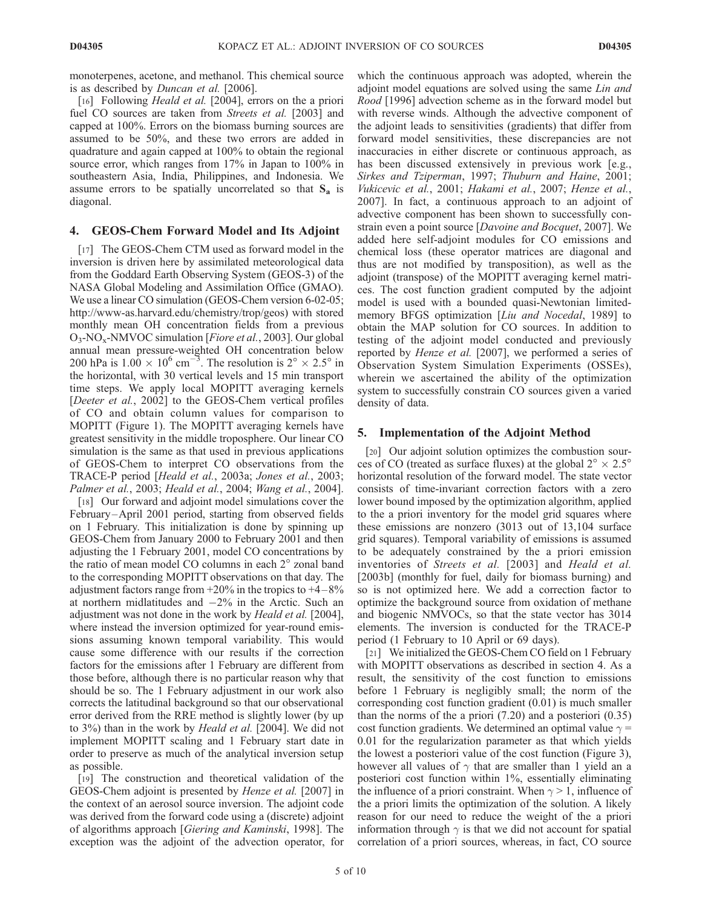monoterpenes, acetone, and methanol. This chemical source is as described by Duncan et al. [2006].

[16] Following *Heald et al.* [2004], errors on the a priori fuel CO sources are taken from Streets et al. [2003] and capped at 100%. Errors on the biomass burning sources are assumed to be 50%, and these two errors are added in quadrature and again capped at 100% to obtain the regional source error, which ranges from 17% in Japan to 100% in southeastern Asia, India, Philippines, and Indonesia. We assume errors to be spatially uncorrelated so that  $S_a$  is diagonal.

#### 4. GEOS-Chem Forward Model and Its Adjoint

[17] The GEOS-Chem CTM used as forward model in the inversion is driven here by assimilated meteorological data from the Goddard Earth Observing System (GEOS-3) of the NASA Global Modeling and Assimilation Office (GMAO). We use a linear CO simulation (GEOS-Chem version 6-02-05; http://www-as.harvard.edu/chemistry/trop/geos) with stored monthly mean OH concentration fields from a previous  $O_3$ -NO<sub>x</sub>-NMVOC simulation [*Fiore et al.*, 2003]. Our global annual mean pressure-weighted OH concentration below 200 hPa is  $1.00 \times 10^6$  cm<sup>-3</sup>. The resolution is  $2^{\circ} \times 2.5^{\circ}$  in the horizontal, with 30 vertical levels and 15 min transport time steps. We apply local MOPITT averaging kernels [*Deeter et al.*, 2002] to the GEOS-Chem vertical profiles of CO and obtain column values for comparison to MOPITT (Figure 1). The MOPITT averaging kernels have greatest sensitivity in the middle troposphere. Our linear CO simulation is the same as that used in previous applications of GEOS-Chem to interpret CO observations from the TRACE-P period [Heald et al., 2003a; Jones et al., 2003; Palmer et al., 2003; Heald et al., 2004; Wang et al., 2004].

[18] Our forward and adjoint model simulations cover the February –April 2001 period, starting from observed fields on 1 February. This initialization is done by spinning up GEOS-Chem from January 2000 to February 2001 and then adjusting the 1 February 2001, model CO concentrations by the ratio of mean model CO columns in each  $2^{\circ}$  zonal band to the corresponding MOPITT observations on that day. The adjustment factors range from  $+20\%$  in the tropics to  $+4-8\%$ at northern midlatitudes and  $-2\%$  in the Arctic. Such an adjustment was not done in the work by *Heald et al.* [2004], where instead the inversion optimized for year-round emissions assuming known temporal variability. This would cause some difference with our results if the correction factors for the emissions after 1 February are different from those before, although there is no particular reason why that should be so. The 1 February adjustment in our work also corrects the latitudinal background so that our observational error derived from the RRE method is slightly lower (by up to 3%) than in the work by Heald et al. [2004]. We did not implement MOPITT scaling and 1 February start date in order to preserve as much of the analytical inversion setup as possible.

[19] The construction and theoretical validation of the GEOS-Chem adjoint is presented by Henze et al. [2007] in the context of an aerosol source inversion. The adjoint code was derived from the forward code using a (discrete) adjoint of algorithms approach [Giering and Kaminski, 1998]. The exception was the adjoint of the advection operator, for which the continuous approach was adopted, wherein the adjoint model equations are solved using the same Lin and Rood [1996] advection scheme as in the forward model but with reverse winds. Although the advective component of the adjoint leads to sensitivities (gradients) that differ from forward model sensitivities, these discrepancies are not inaccuracies in either discrete or continuous approach, as has been discussed extensively in previous work [e.g., Sirkes and Tziperman, 1997; Thuburn and Haine, 2001; Vukicevic et al., 2001; Hakami et al., 2007; Henze et al., 2007]. In fact, a continuous approach to an adjoint of advective component has been shown to successfully constrain even a point source [Davoine and Bocquet, 2007]. We added here self-adjoint modules for CO emissions and chemical loss (these operator matrices are diagonal and thus are not modified by transposition), as well as the adjoint (transpose) of the MOPITT averaging kernel matrices. The cost function gradient computed by the adjoint model is used with a bounded quasi-Newtonian limitedmemory BFGS optimization [Liu and Nocedal, 1989] to obtain the MAP solution for CO sources. In addition to testing of the adjoint model conducted and previously reported by Henze et al. [2007], we performed a series of Observation System Simulation Experiments (OSSEs), wherein we ascertained the ability of the optimization system to successfully constrain CO sources given a varied density of data.

#### 5. Implementation of the Adjoint Method

[20] Our adjoint solution optimizes the combustion sources of CO (treated as surface fluxes) at the global  $2^{\circ} \times 2.5^{\circ}$ horizontal resolution of the forward model. The state vector consists of time-invariant correction factors with a zero lower bound imposed by the optimization algorithm, applied to the a priori inventory for the model grid squares where these emissions are nonzero (3013 out of 13,104 surface grid squares). Temporal variability of emissions is assumed to be adequately constrained by the a priori emission inventories of Streets et al. [2003] and Heald et al. [2003b] (monthly for fuel, daily for biomass burning) and so is not optimized here. We add a correction factor to optimize the background source from oxidation of methane and biogenic NMVOCs, so that the state vector has 3014 elements. The inversion is conducted for the TRACE-P period (1 February to 10 April or 69 days).

[21] We initialized the GEOS-Chem CO field on 1 February with MOPITT observations as described in section 4. As a result, the sensitivity of the cost function to emissions before 1 February is negligibly small; the norm of the corresponding cost function gradient (0.01) is much smaller than the norms of the a priori (7.20) and a posteriori (0.35) cost function gradients. We determined an optimal value  $\gamma$  = 0.01 for the regularization parameter as that which yields the lowest a posteriori value of the cost function (Figure 3), however all values of  $\gamma$  that are smaller than 1 yield an a posteriori cost function within 1%, essentially eliminating the influence of a priori constraint. When  $\gamma > 1$ , influence of the a priori limits the optimization of the solution. A likely reason for our need to reduce the weight of the a priori information through  $\gamma$  is that we did not account for spatial correlation of a priori sources, whereas, in fact, CO source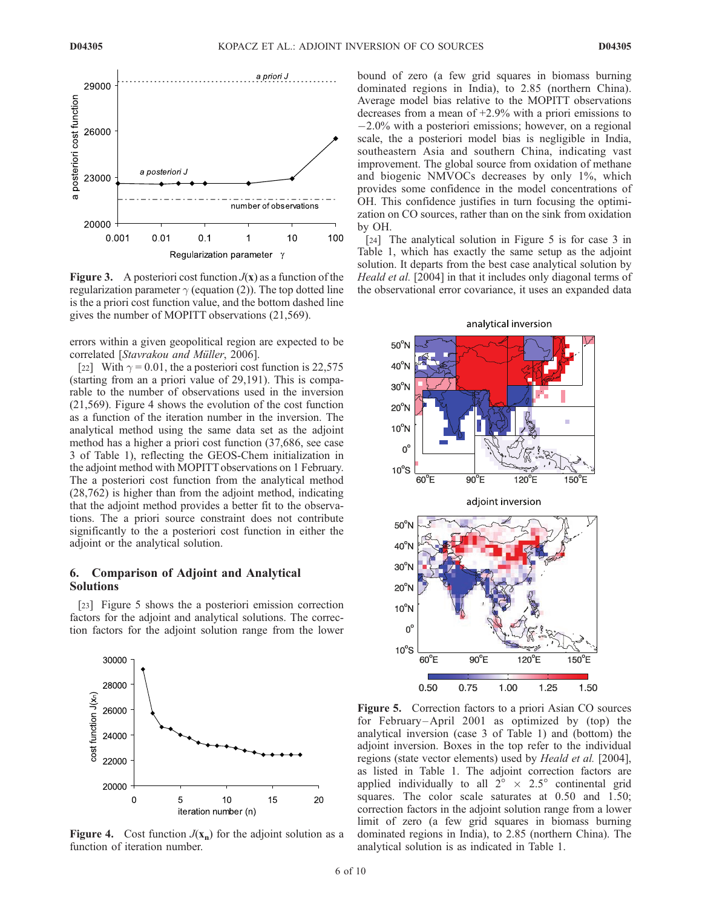

**Figure 3.** A posteriori cost function  $J(x)$  as a function of the regularization parameter  $\gamma$  (equation (2)). The top dotted line is the a priori cost function value, and the bottom dashed line gives the number of MOPITT observations (21,569).

errors within a given geopolitical region are expected to be correlated [Stavrakou and Müller, 2006].

[22] With  $\gamma = 0.01$ , the a posteriori cost function is 22,575 (starting from an a priori value of 29,191). This is comparable to the number of observations used in the inversion (21,569). Figure 4 shows the evolution of the cost function as a function of the iteration number in the inversion. The analytical method using the same data set as the adjoint method has a higher a priori cost function (37,686, see case 3 of Table 1), reflecting the GEOS-Chem initialization in the adjoint method with MOPITT observations on 1 February. The a posteriori cost function from the analytical method (28,762) is higher than from the adjoint method, indicating that the adjoint method provides a better fit to the observations. The a priori source constraint does not contribute significantly to the a posteriori cost function in either the adjoint or the analytical solution.

## 6. Comparison of Adjoint and Analytical Solutions

[23] Figure 5 shows the a posteriori emission correction factors for the adjoint and analytical solutions. The correction factors for the adjoint solution range from the lower



**Figure 4.** Cost function  $J(\mathbf{x}_n)$  for the adjoint solution as a function of iteration number.

bound of zero (a few grid squares in biomass burning dominated regions in India), to 2.85 (northern China). Average model bias relative to the MOPITT observations decreases from a mean of +2.9% with a priori emissions to  $-2.0\%$  with a posteriori emissions; however, on a regional scale, the a posteriori model bias is negligible in India, southeastern Asia and southern China, indicating vast improvement. The global source from oxidation of methane and biogenic NMVOCs decreases by only 1%, which provides some confidence in the model concentrations of OH. This confidence justifies in turn focusing the optimization on CO sources, rather than on the sink from oxidation by OH.

[24] The analytical solution in Figure 5 is for case 3 in Table 1, which has exactly the same setup as the adjoint solution. It departs from the best case analytical solution by Heald et al. [2004] in that it includes only diagonal terms of the observational error covariance, it uses an expanded data



Figure 5. Correction factors to a priori Asian CO sources for February –April 2001 as optimized by (top) the analytical inversion (case 3 of Table 1) and (bottom) the adjoint inversion. Boxes in the top refer to the individual regions (state vector elements) used by Heald et al. [2004], as listed in Table 1. The adjoint correction factors are applied individually to all  $2^{\circ} \times 2.5^{\circ}$  continental grid squares. The color scale saturates at 0.50 and 1.50; correction factors in the adjoint solution range from a lower limit of zero (a few grid squares in biomass burning dominated regions in India), to 2.85 (northern China). The analytical solution is as indicated in Table 1.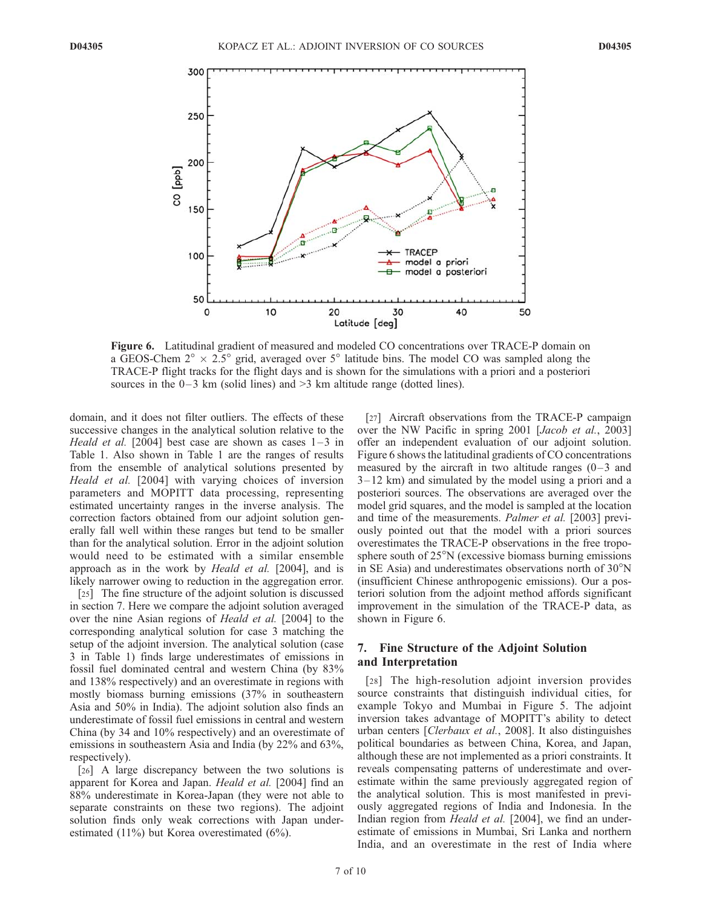

Figure 6. Latitudinal gradient of measured and modeled CO concentrations over TRACE-P domain on a GEOS-Chem  $2^{\circ} \times 2.5^{\circ}$  grid, averaged over  $5^{\circ}$  latitude bins. The model CO was sampled along the TRACE-P flight tracks for the flight days and is shown for the simulations with a priori and a posteriori sources in the  $0-3$  km (solid lines) and  $>3$  km altitude range (dotted lines).

domain, and it does not filter outliers. The effects of these successive changes in the analytical solution relative to the Heald et al.  $[2004]$  best case are shown as cases  $1-3$  in Table 1. Also shown in Table 1 are the ranges of results from the ensemble of analytical solutions presented by Heald et al. [2004] with varying choices of inversion parameters and MOPITT data processing, representing estimated uncertainty ranges in the inverse analysis. The correction factors obtained from our adjoint solution generally fall well within these ranges but tend to be smaller than for the analytical solution. Error in the adjoint solution would need to be estimated with a similar ensemble approach as in the work by Heald et al. [2004], and is likely narrower owing to reduction in the aggregation error.

[25] The fine structure of the adjoint solution is discussed in section 7. Here we compare the adjoint solution averaged over the nine Asian regions of *Heald et al.* [2004] to the corresponding analytical solution for case 3 matching the setup of the adjoint inversion. The analytical solution (case 3 in Table 1) finds large underestimates of emissions in fossil fuel dominated central and western China (by 83% and 138% respectively) and an overestimate in regions with mostly biomass burning emissions (37% in southeastern Asia and 50% in India). The adjoint solution also finds an underestimate of fossil fuel emissions in central and western China (by 34 and 10% respectively) and an overestimate of emissions in southeastern Asia and India (by 22% and 63%, respectively).

[26] A large discrepancy between the two solutions is apparent for Korea and Japan. Heald et al. [2004] find an 88% underestimate in Korea-Japan (they were not able to separate constraints on these two regions). The adjoint solution finds only weak corrections with Japan underestimated (11%) but Korea overestimated (6%).

[27] Aircraft observations from the TRACE-P campaign over the NW Pacific in spring 2001 [Jacob et al., 2003] offer an independent evaluation of our adjoint solution. Figure 6 shows the latitudinal gradients of CO concentrations measured by the aircraft in two altitude ranges  $(0-3$  and 3– 12 km) and simulated by the model using a priori and a posteriori sources. The observations are averaged over the model grid squares, and the model is sampled at the location and time of the measurements. Palmer et al. [2003] previously pointed out that the model with a priori sources overestimates the TRACE-P observations in the free troposphere south of  $25^{\circ}$ N (excessive biomass burning emissions in SE Asia) and underestimates observations north of  $30^{\circ}$ N (insufficient Chinese anthropogenic emissions). Our a posteriori solution from the adjoint method affords significant improvement in the simulation of the TRACE-P data, as shown in Figure 6.

## 7. Fine Structure of the Adjoint Solution and Interpretation

[28] The high-resolution adjoint inversion provides source constraints that distinguish individual cities, for example Tokyo and Mumbai in Figure 5. The adjoint inversion takes advantage of MOPITT's ability to detect urban centers [Clerbaux et al., 2008]. It also distinguishes political boundaries as between China, Korea, and Japan, although these are not implemented as a priori constraints. It reveals compensating patterns of underestimate and overestimate within the same previously aggregated region of the analytical solution. This is most manifested in previously aggregated regions of India and Indonesia. In the Indian region from *Heald et al.* [2004], we find an underestimate of emissions in Mumbai, Sri Lanka and northern India, and an overestimate in the rest of India where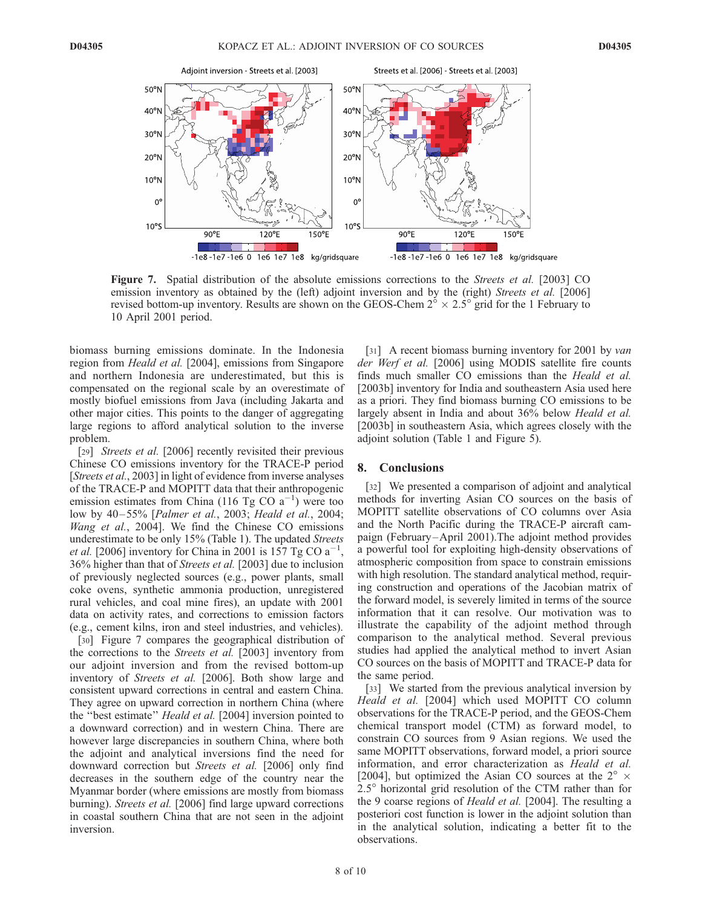

Figure 7. Spatial distribution of the absolute emissions corrections to the *Streets et al.* [2003] CO emission inventory as obtained by the (left) adjoint inversion and by the (right) Streets et al. [2006] revised bottom-up inventory. Results are shown on the GEOS-Chem  $2^{\circ} \times 2.5^{\circ}$  grid for the 1 February to 10 April 2001 period.

biomass burning emissions dominate. In the Indonesia region from Heald et al. [2004], emissions from Singapore and northern Indonesia are underestimated, but this is compensated on the regional scale by an overestimate of mostly biofuel emissions from Java (including Jakarta and other major cities. This points to the danger of aggregating large regions to afford analytical solution to the inverse problem.

[29] Streets et al. [2006] recently revisited their previous Chinese CO emissions inventory for the TRACE-P period [*Streets et al.*, 2003] in light of evidence from inverse analyses of the TRACE-P and MOPITT data that their anthropogenic emission estimates from China (116 Tg CO  $a^{-1}$ ) were too low by 40-55% [Palmer et al., 2003; Heald et al., 2004; Wang et al., 2004]. We find the Chinese CO emissions underestimate to be only 15% (Table 1). The updated Streets *et al.* [2006] inventory for China in 2001 is  $157$  Tg CO  $a^{-1}$ , 36% higher than that of Streets et al. [2003] due to inclusion of previously neglected sources (e.g., power plants, small coke ovens, synthetic ammonia production, unregistered rural vehicles, and coal mine fires), an update with 2001 data on activity rates, and corrections to emission factors (e.g., cement kilns, iron and steel industries, and vehicles).

[30] Figure 7 compares the geographical distribution of the corrections to the *Streets et al.* [2003] inventory from our adjoint inversion and from the revised bottom-up inventory of Streets et al. [2006]. Both show large and consistent upward corrections in central and eastern China. They agree on upward correction in northern China (where the "best estimate" *Heald et al.* [2004] inversion pointed to a downward correction) and in western China. There are however large discrepancies in southern China, where both the adjoint and analytical inversions find the need for downward correction but Streets et al. [2006] only find decreases in the southern edge of the country near the Myanmar border (where emissions are mostly from biomass burning). *Streets et al.* [2006] find large upward corrections in coastal southern China that are not seen in the adjoint inversion.

[31] A recent biomass burning inventory for 2001 by *van* der Werf et al. [2006] using MODIS satellite fire counts finds much smaller CO emissions than the Heald et al. [2003b] inventory for India and southeastern Asia used here as a priori. They find biomass burning CO emissions to be largely absent in India and about 36% below Heald et al. [2003b] in southeastern Asia, which agrees closely with the adjoint solution (Table 1 and Figure 5).

#### 8. Conclusions

[32] We presented a comparison of adjoint and analytical methods for inverting Asian CO sources on the basis of MOPITT satellite observations of CO columns over Asia and the North Pacific during the TRACE-P aircraft campaign (February –April 2001).The adjoint method provides a powerful tool for exploiting high-density observations of atmospheric composition from space to constrain emissions with high resolution. The standard analytical method, requiring construction and operations of the Jacobian matrix of the forward model, is severely limited in terms of the source information that it can resolve. Our motivation was to illustrate the capability of the adjoint method through comparison to the analytical method. Several previous studies had applied the analytical method to invert Asian CO sources on the basis of MOPITT and TRACE-P data for the same period.

[33] We started from the previous analytical inversion by Heald et al. [2004] which used MOPITT CO column observations for the TRACE-P period, and the GEOS-Chem chemical transport model (CTM) as forward model, to constrain CO sources from 9 Asian regions. We used the same MOPITT observations, forward model, a priori source information, and error characterization as Heald et al. [2004], but optimized the Asian CO sources at the  $2^{\circ} \times$  $2.5^\circ$  horizontal grid resolution of the CTM rather than for the 9 coarse regions of Heald et al. [2004]. The resulting a posteriori cost function is lower in the adjoint solution than in the analytical solution, indicating a better fit to the observations.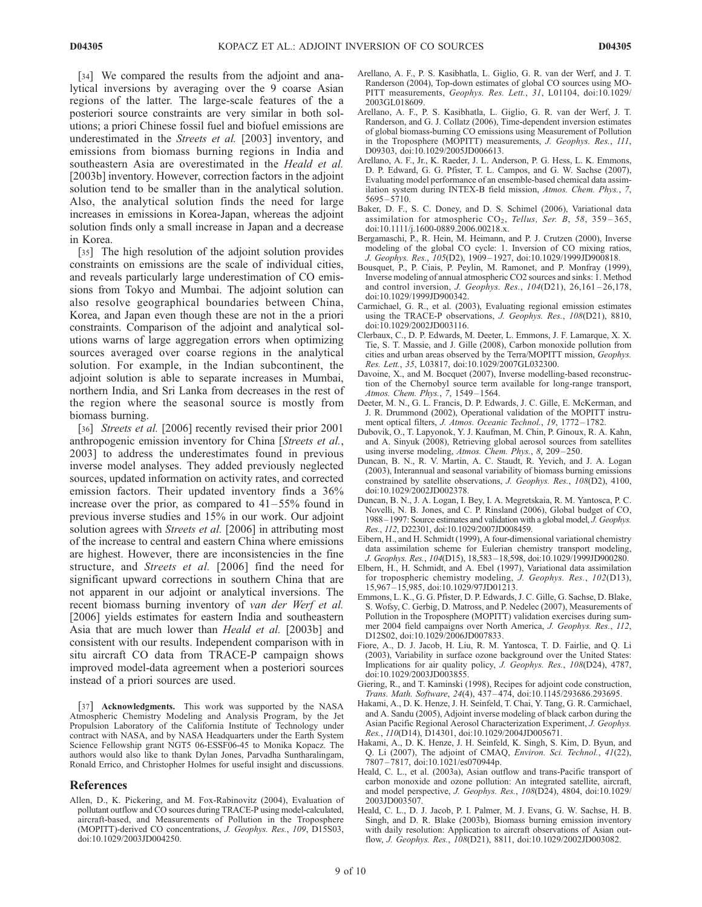[34] We compared the results from the adjoint and analytical inversions by averaging over the 9 coarse Asian regions of the latter. The large-scale features of the a posteriori source constraints are very similar in both solutions; a priori Chinese fossil fuel and biofuel emissions are underestimated in the Streets et al. [2003] inventory, and emissions from biomass burning regions in India and southeastern Asia are overestimated in the Heald et al. [2003b] inventory. However, correction factors in the adjoint solution tend to be smaller than in the analytical solution. Also, the analytical solution finds the need for large increases in emissions in Korea-Japan, whereas the adjoint solution finds only a small increase in Japan and a decrease in Korea.

[35] The high resolution of the adjoint solution provides constraints on emissions are the scale of individual cities, and reveals particularly large underestimation of CO emissions from Tokyo and Mumbai. The adjoint solution can also resolve geographical boundaries between China, Korea, and Japan even though these are not in the a priori constraints. Comparison of the adjoint and analytical solutions warns of large aggregation errors when optimizing sources averaged over coarse regions in the analytical solution. For example, in the Indian subcontinent, the adjoint solution is able to separate increases in Mumbai, northern India, and Sri Lanka from decreases in the rest of the region where the seasonal source is mostly from biomass burning.

[36] Streets et al. [2006] recently revised their prior 2001 anthropogenic emission inventory for China [Streets et al., 2003] to address the underestimates found in previous inverse model analyses. They added previously neglected sources, updated information on activity rates, and corrected emission factors. Their updated inventory finds a 36% increase over the prior, as compared to  $41-55%$  found in previous inverse studies and 15% in our work. Our adjoint solution agrees with Streets et al. [2006] in attributing most of the increase to central and eastern China where emissions are highest. However, there are inconsistencies in the fine structure, and Streets et al. [2006] find the need for significant upward corrections in southern China that are not apparent in our adjoint or analytical inversions. The recent biomass burning inventory of van der Werf et al. [2006] yields estimates for eastern India and southeastern Asia that are much lower than *Heald et al.* [2003b] and consistent with our results. Independent comparison with in situ aircraft CO data from TRACE-P campaign shows improved model-data agreement when a posteriori sources instead of a priori sources are used.

[37] Acknowledgments. This work was supported by the NASA Atmospheric Chemistry Modeling and Analysis Program, by the Jet Propulsion Laboratory of the California Institute of Technology under contract with NASA, and by NASA Headquarters under the Earth System Science Fellowship grant NGT5 06-ESSF06-45 to Monika Kopacz. The authors would also like to thank Dylan Jones, Parvadha Suntharalingam, Ronald Errico, and Christopher Holmes for useful insight and discussions.

#### References

Allen, D., K. Pickering, and M. Fox-Rabinovitz (2004), Evaluation of pollutant outflow and CO sources during TRACE-P using model-calculated, aircraft-based, and Measurements of Pollution in the Troposphere (MOPITT)-derived CO concentrations, J. Geophys. Res., 109, D15S03, doi:10.1029/2003JD004250.

- Arellano, A. F., P. S. Kasibhatla, L. Giglio, G. R. van der Werf, and J. T. Randerson (2004), Top-down estimates of global CO sources using MO-PITT measurements, Geophys. Res. Lett., 31, L01104, doi:10.1029/ 2003GL018609.
- Arellano, A. F., P. S. Kasibhatla, L. Giglio, G. R. van der Werf, J. T. Randerson, and G. J. Collatz (2006), Time-dependent inversion estimates of global biomass-burning CO emissions using Measurement of Pollution in the Troposphere (MOPITT) measurements, J. Geophys. Res., 111, D09303, doi:10.1029/2005JD006613.
- Arellano, A. F., Jr., K. Raeder, J. L. Anderson, P. G. Hess, L. K. Emmons, D. P. Edward, G. G. Pfister, T. L. Campos, and G. W. Sachse (2007), Evaluating model performance of an ensemble-based chemical data assimilation system during INTEX-B field mission, Atmos. Chem. Phys., 7,  $5695 - 5710.$
- Baker, D. F., S. C. Doney, and D. S. Schimel (2006), Variational data assimilation for atmospheric CO<sub>2</sub>, Tellus, Ser. B, 58, 359-365, doi:10.1111/j.1600-0889.2006.00218.x.
- Bergamaschi, P., R. Hein, M. Heimann, and P. J. Crutzen (2000), Inverse modeling of the global CO cycle: 1. Inversion of CO mixing ratios, J. Geophys. Res., 105(D2), 1909 – 1927, doi:10.1029/1999JD900818.
- Bousquet, P., P. Ciais, P. Peylin, M. Ramonet, and P. Monfray (1999), Inverse modeling of annual atmospheric CO2 sources and sinks: 1. Method and control inversion, J. Geophys. Res., 104(D21), 26,161 – 26,178, doi:10.1029/1999JD900342.
- Carmichael, G. R., et al. (2003), Evaluating regional emission estimates using the TRACE-P observations, J. Geophys. Res., 108(D21), 8810, doi:10.1029/2002JD003116.
- Clerbaux, C., D. P. Edwards, M. Deeter, L. Emmons, J. F. Lamarque, X. X. Tie, S. T. Massie, and J. Gille (2008), Carbon monoxide pollution from cities and urban areas observed by the Terra/MOPITT mission, Geophys. Res. Lett., 35, L03817, doi:10.1029/2007GL032300.
- Davoine, X., and M. Bocquet (2007), Inverse modelling-based reconstruction of the Chernobyl source term available for long-range transport, Atmos. Chem. Phys., 7, 1549 – 1564.
- Deeter, M. N., G. L. Francis, D. P. Edwards, J. C. Gille, E. McKerman, and J. R. Drummond (2002), Operational validation of the MOPITT instrument optical filters, J. Atmos. Oceanic Technol., 19, 1772 – 1782.
- Dubovik, O., T. Lapyonok, Y. J. Kaufman, M. Chin, P. Ginoux, R. A. Kahn, and A. Sinyuk (2008), Retrieving global aerosol sources from satellites using inverse modeling, Atmos. Chem. Phys., 8, 209-250.
- Duncan, B. N., R. V. Martin, A. C. Staudt, R. Yevich, and J. A. Logan (2003), Interannual and seasonal variability of biomass burning emissions constrained by satellite observations, J. Geophys. Res., 108(D2), 4100, doi:10.1029/2002JD002378.
- Duncan, B. N., J. A. Logan, I. Bey, I. A. Megretskaia, R. M. Yantosca, P. C. Novelli, N. B. Jones, and C. P. Rinsland (2006), Global budget of CO, 1988– 1997: Source estimates and validation with a global model, J. Geophys. Res., 112, D22301, doi:10.1029/2007JD008459.
- Eibern, H., and H. Schmidt (1999), A four-dimensional variational chemistry data assimilation scheme for Eulerian chemistry transport modeling, J. Geophys. Res., 104(D15), 18,583 – 18,598, doi:10.1029/1999JD900280.
- Elbern, H., H. Schmidt, and A. Ebel (1997), Variational data assimilation for tropospheric chemistry modeling,  $\hat{J}$ . Geophys. Res., 102(D13), 15,967 – 15,985, doi:10.1029/97JD01213.
- Emmons, L. K., G. G. Pfister, D. P. Edwards, J. C. Gille, G. Sachse, D. Blake, S. Wofsy, C. Gerbig, D. Matross, and P. Nedelec (2007), Measurements of Pollution in the Troposphere (MOPITT) validation exercises during summer 2004 field campaigns over North America, J. Geophys. Res., 112, D12S02, doi:10.1029/2006JD007833.
- Fiore, A., D. J. Jacob, H. Liu, R. M. Yantosca, T. D. Fairlie, and Q. Li (2003), Variability in surface ozone background over the United States: Implications for air quality policy, J. Geophys. Res., 108(D24), 4787, doi:10.1029/2003JD003855.
- Giering, R., and T. Kaminski (1998), Recipes for adjoint code construction, Trans. Math. Software, 24(4), 437 – 474, doi:10.1145/293686.293695.
- Hakami, A., D. K. Henze, J. H. Seinfeld, T. Chai, Y. Tang, G. R. Carmichael, and A. Sandu (2005), Adjoint inverse modeling of black carbon during the Asian Pacific Regional Aerosol Characterization Experiment, J. Geophys. Res., 110(D14), D14301, doi:10.1029/2004JD005671.
- Hakami, A., D. K. Henze, J. H. Seinfeld, K. Singh, S. Kim, D. Byun, and Q. Li (2007), The adjoint of CMAQ, Environ. Sci. Technol., 41(22), 7807 – 7817, doi:10.1021/es070944p.
- Heald, C. L., et al. (2003a), Asian outflow and trans-Pacific transport of carbon monoxide and ozone pollution: An integrated satellite, aircraft, and model perspective, J. Geophys. Res., 108(D24), 4804, doi:10.1029/ 2003JD003507.
- Heald, C. L., D. J. Jacob, P. I. Palmer, M. J. Evans, G. W. Sachse, H. B. Singh, and D. R. Blake (2003b), Biomass burning emission inventory with daily resolution: Application to aircraft observations of Asian outflow, J. Geophys. Res., 108(D21), 8811, doi:10.1029/2002JD003082.